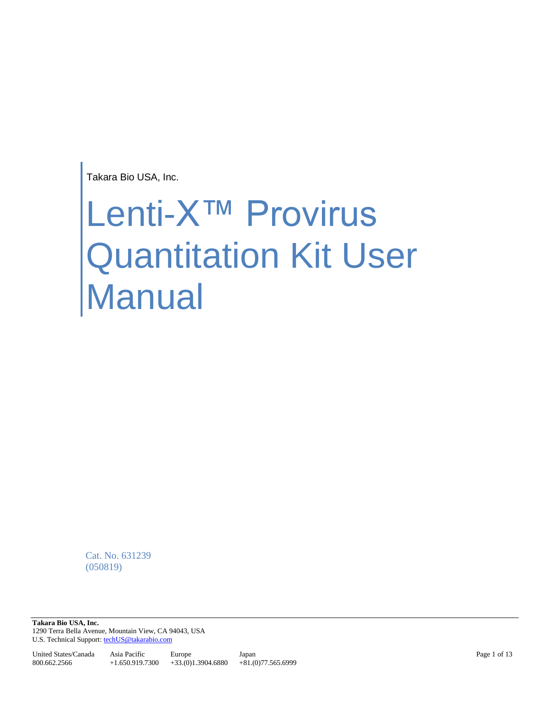Takara Bio USA, Inc.

# Lenti-X<sup>™</sup> Provirus Quantitation Kit User Manual

Cat. No. 631239 (050819)

**Takara Bio USA, Inc.**  1290 Terra Bella Avenue, Mountain View, CA 94043, USA U.S. Technical Support[: techUS@takarabio.com](mailto:techUS@takarabio.com)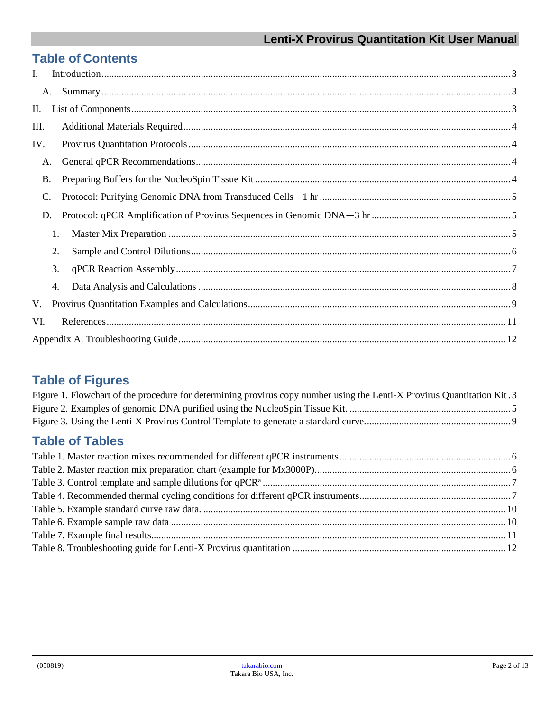## **Table of Contents**

| I.              |    |  |
|-----------------|----|--|
|                 | A. |  |
| П.              |    |  |
| III.            |    |  |
| IV.             |    |  |
| А.              |    |  |
| <b>B.</b>       |    |  |
| $\mathcal{C}$ . |    |  |
| D.              |    |  |
|                 | 1. |  |
|                 | 2. |  |
|                 | 3. |  |
|                 | 4. |  |
| V.              |    |  |
| VI.             |    |  |
|                 |    |  |

# **Table of Figures**

| Figure 1. Flowchart of the procedure for determining provirus copy number using the Lenti-X Provirus Quantitation Kit. 3 |  |
|--------------------------------------------------------------------------------------------------------------------------|--|
|                                                                                                                          |  |
|                                                                                                                          |  |

# **Table of Tables**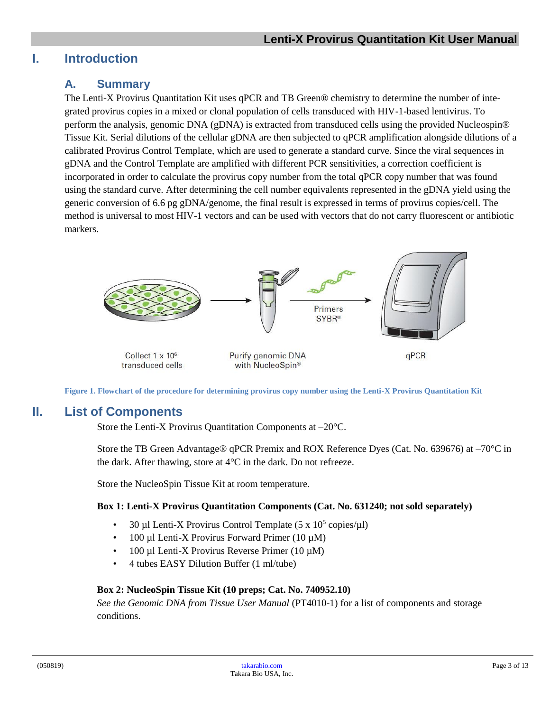## <span id="page-2-1"></span><span id="page-2-0"></span>**I. Introduction**

## **A. Summary**

The Lenti-X Provirus Quantitation Kit uses qPCR and TB Green® chemistry to determine the number of integrated provirus copies in a mixed or clonal population of cells transduced with HIV-1-based lentivirus. To perform the analysis, genomic DNA (gDNA) is extracted from transduced cells using the provided Nucleospin® Tissue Kit. Serial dilutions of the cellular gDNA are then subjected to qPCR amplification alongside dilutions of a calibrated Provirus Control Template, which are used to generate a standard curve. Since the viral sequences in gDNA and the Control Template are amplified with different PCR sensitivities, a correction coefficient is incorporated in order to calculate the provirus copy number from the total qPCR copy number that was found using the standard curve. After determining the cell number equivalents represented in the gDNA yield using the generic conversion of 6.6 pg gDNA/genome, the final result is expressed in terms of provirus copies/cell. The method is universal to most HIV-1 vectors and can be used with vectors that do not carry fluorescent or antibiotic markers.



**Figure 1. Flowchart of the procedure for determining provirus copy number using the Lenti-X Provirus Quantitation Kit**

## <span id="page-2-3"></span><span id="page-2-2"></span>**II. List of Components**

Store the Lenti-X Provirus Quantitation Components at –20°C.

Store the TB Green Advantage® qPCR Premix and ROX Reference Dyes (Cat. No. 639676) at -70°C in the dark. After thawing, store at 4°C in the dark. Do not refreeze.

Store the NucleoSpin Tissue Kit at room temperature.

#### **Box 1: Lenti-X Provirus Quantitation Components (Cat. No. 631240; not sold separately)**

- 30 µl Lenti-X Provirus Control Template  $(5 \times 10^5 \text{ copies/}\mu\text{I})$
- 100 µl Lenti-X Provirus Forward Primer (10  $\mu$ M)
- 100 µl Lenti-X Provirus Reverse Primer  $(10 \mu M)$
- 4 tubes EASY Dilution Buffer (1 ml/tube)

#### **Box 2: NucleoSpin Tissue Kit (10 preps; Cat. No. 740952.10)**

*See the Genomic DNA from Tissue User Manual* (PT4010-1) for a list of components and storage conditions.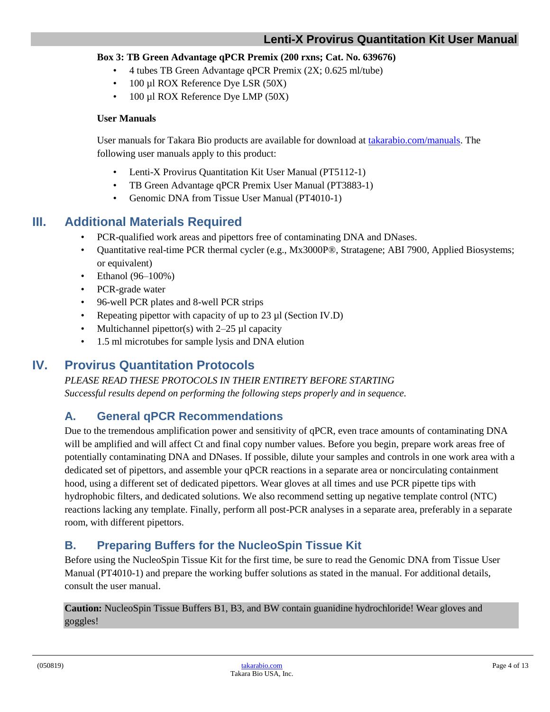#### **Box 3: TB Green Advantage qPCR Premix (200 rxns; Cat. No. 639676)**

- 4 tubes TB Green Advantage qPCR Premix (2X; 0.625 ml/tube)
- 100 µl ROX Reference Dye LSR (50X)
- 100 µl ROX Reference Dye LMP (50X)

#### **User Manuals**

User manuals for Takara Bio products are available for download at [takarabio.com/manuals.](file://///public/clontech%20drive/chaudhurib/ECNs/TB%20Green/631239/takarabio.com/manuals) The following user manuals apply to this product:

- Lenti-X Provirus Quantitation Kit User Manual (PT5112-1)
- TB Green Advantage qPCR Premix User Manual (PT3883-1)
- Genomic DNA from Tissue User Manual (PT4010-1)

## <span id="page-3-0"></span>**III. Additional Materials Required**

- PCR-qualified work areas and pipettors free of contaminating DNA and DNases.
- Quantitative real-time PCR thermal cycler (e.g., Mx3000P®, Stratagene; ABI 7900, Applied Biosystems; or equivalent)
- Ethanol (96–100%)
- PCR-grade water
- 96-well PCR plates and 8-well PCR strips
- Repeating pipettor with capacity of up to 23 µl (Section IV.D)
- Multichannel pipettor(s) with  $2-25$  µl capacity
- 1.5 ml microtubes for sample lysis and DNA elution

## <span id="page-3-1"></span>**IV. Provirus Quantitation Protocols**

*PLEASE READ THESE PROTOCOLS IN THEIR ENTIRETY BEFORE STARTING Successful results depend on performing the following steps properly and in sequence.*

## <span id="page-3-2"></span>**A. General qPCR Recommendations**

Due to the tremendous amplification power and sensitivity of qPCR, even trace amounts of contaminating DNA will be amplified and will affect Ct and final copy number values. Before you begin, prepare work areas free of potentially contaminating DNA and DNases. If possible, dilute your samples and controls in one work area with a dedicated set of pipettors, and assemble your qPCR reactions in a separate area or noncirculating containment hood, using a different set of dedicated pipettors. Wear gloves at all times and use PCR pipette tips with hydrophobic filters, and dedicated solutions. We also recommend setting up negative template control (NTC) reactions lacking any template. Finally, perform all post-PCR analyses in a separate area, preferably in a separate room, with different pipettors.

## <span id="page-3-3"></span>**B. Preparing Buffers for the NucleoSpin Tissue Kit**

Before using the NucleoSpin Tissue Kit for the first time, be sure to read the Genomic DNA from Tissue User Manual (PT4010-1) and prepare the working buffer solutions as stated in the manual. For additional details, consult the user manual.

**Caution:** NucleoSpin Tissue Buffers B1, B3, and BW contain guanidine hydrochloride! Wear gloves and goggles!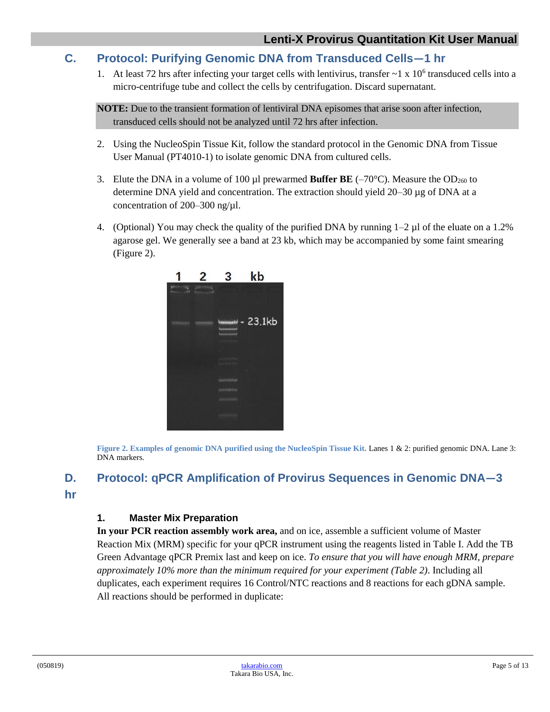## <span id="page-4-0"></span>**C. Protocol: Purifying Genomic DNA from Transduced Cells―1 hr**

1. At least 72 hrs after infecting your target cells with lentivirus, transfer  $\sim$  1 x 10<sup>6</sup> transduced cells into a micro-centrifuge tube and collect the cells by centrifugation. Discard supernatant.

**NOTE:** Due to the transient formation of lentiviral DNA episomes that arise soon after infection, transduced cells should not be analyzed until 72 hrs after infection.

- 2. Using the NucleoSpin Tissue Kit, follow the standard protocol in the Genomic DNA from Tissue User Manual (PT4010-1) to isolate genomic DNA from cultured cells.
- 3. Elute the DNA in a volume of 100  $\mu$ l prewarmed **Buffer BE** (-70°C). Measure the OD<sub>260</sub> to determine DNA yield and concentration. The extraction should yield 20–30 µg of DNA at a concentration of 200–300 ng/µl.
- 4. (Optional) You may check the quality of the purified DNA by running 1–2 µl of the eluate on a 1.2% agarose gel. We generally see a band at 23 kb, which may be accompanied by some faint smearing (Figure 2).



**Figure 2. Examples of genomic DNA purified using the NucleoSpin Tissue Kit.** Lanes 1 & 2: purified genomic DNA. Lane 3: DNA markers.

# <span id="page-4-3"></span><span id="page-4-1"></span>**D. Protocol: qPCR Amplification of Provirus Sequences in Genomic DNA―3**

<span id="page-4-2"></span>**hr**

#### **1. Master Mix Preparation**

**In your PCR reaction assembly work area,** and on ice, assemble a sufficient volume of Master Reaction Mix (MRM) specific for your qPCR instrument using the reagents listed in Table I. Add the TB Green Advantage qPCR Premix last and keep on ice. *To ensure that you will have enough MRM, prepare approximately 10% more than the minimum required for your experiment (Table 2)*. Including all duplicates, each experiment requires 16 Control/NTC reactions and 8 reactions for each gDNA sample. All reactions should be performed in duplicate: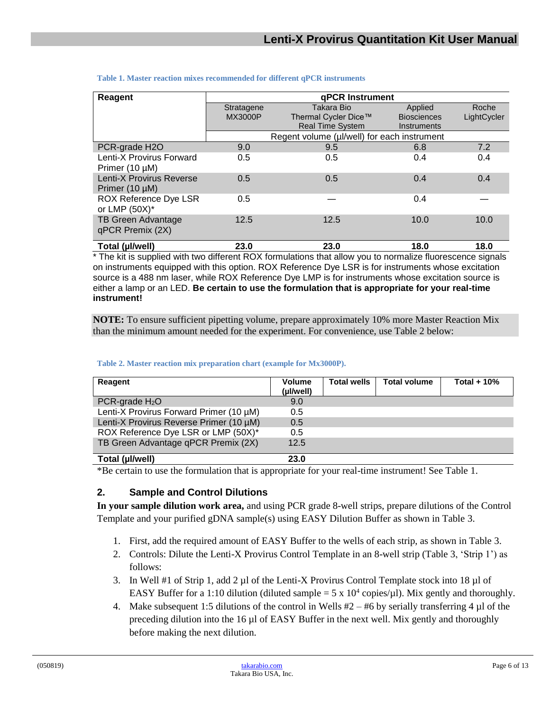| Reagent                  | qPCR Instrument |                                             |                    |             |  |  |
|--------------------------|-----------------|---------------------------------------------|--------------------|-------------|--|--|
|                          | Stratagene      | Takara Bio                                  | Applied            | Roche       |  |  |
|                          | <b>MX3000P</b>  | Thermal Cycler Dice™                        | <b>Biosciences</b> | LightCycler |  |  |
|                          |                 | <b>Real Time System</b>                     | Instruments        |             |  |  |
|                          |                 | Regent volume (µl/well) for each instrument |                    |             |  |  |
| PCR-grade H2O            | 9.0             | 9.5                                         | 6.8                | 7.2         |  |  |
| Lenti-X Provirus Forward | 0.5             | 0.5                                         | 0.4                | 0.4         |  |  |
| Primer $(10 \mu M)$      |                 |                                             |                    |             |  |  |
| Lenti-X Provirus Reverse | 0.5             | 0.5                                         | 0.4                | 0.4         |  |  |
| Primer $(10 \mu M)$      |                 |                                             |                    |             |  |  |
| ROX Reference Dye LSR    | 0.5             |                                             | 0.4                |             |  |  |
| or LMP $(50X)^*$         |                 |                                             |                    |             |  |  |
| TB Green Advantage       | 12.5            | 12.5                                        | 10.0               | 10.0        |  |  |
| qPCR Premix (2X)         |                 |                                             |                    |             |  |  |
|                          |                 |                                             |                    |             |  |  |
| Total (µl/well)          | 23.0            | 23.0                                        | 18.0               | 18.0        |  |  |

#### <span id="page-5-1"></span>**Table 1. Master reaction mixes recommended for different qPCR instruments**

\* The kit is supplied with two different ROX formulations that allow you to normalize fluorescence signals on instruments equipped with this option. ROX Reference Dye LSR is for instruments whose excitation source is a 488 nm laser, while ROX Reference Dye LMP is for instruments whose excitation source is either a lamp or an LED. **Be certain to use the formulation that is appropriate for your real-time instrument!**

**NOTE:** To ensure sufficient pipetting volume, prepare approximately 10% more Master Reaction Mix than the minimum amount needed for the experiment. For convenience, use Table 2 below:

<span id="page-5-2"></span>

| Reagent                                 | <b>Volume</b><br>(µl/well) | <b>Total wells</b> | <b>Total volume</b> | Total $+10%$ |
|-----------------------------------------|----------------------------|--------------------|---------------------|--------------|
| PCR-grade $H_2O$                        | 9.0                        |                    |                     |              |
| Lenti-X Provirus Forward Primer (10 µM) | 0.5                        |                    |                     |              |
| Lenti-X Provirus Reverse Primer (10 µM) | 0.5                        |                    |                     |              |
| ROX Reference Dye LSR or LMP (50X)*     | 0.5                        |                    |                     |              |
| TB Green Advantage qPCR Premix (2X)     | 12.5                       |                    |                     |              |
| Total (µl/well)                         | 23.0                       |                    |                     |              |

#### **Table 2. Master reaction mix preparation chart (example for Mx3000P).**

\*Be certain to use the formulation that is appropriate for your real-time instrument! See Table 1.

#### <span id="page-5-0"></span>**2. Sample and Control Dilutions**

**In your sample dilution work area,** and using PCR grade 8-well strips, prepare dilutions of the Control Template and your purified gDNA sample(s) using EASY Dilution Buffer as shown in Table 3.

- 1. First, add the required amount of EASY Buffer to the wells of each strip, as shown in Table 3.
- 2. Controls: Dilute the Lenti-X Provirus Control Template in an 8-well strip (Table 3, 'Strip 1') as follows:
- 3. In Well #1 of Strip 1, add 2 µl of the Lenti-X Provirus Control Template stock into 18 µl of EASY Buffer for a 1:10 dilution (diluted sample =  $5 \times 10^4$  copies/ $\mu$ l). Mix gently and thoroughly.
- 4. Make subsequent 1:5 dilutions of the control in Wells  $#2 #6$  by serially transferring 4 µl of the preceding dilution into the 16 µl of EASY Buffer in the next well. Mix gently and thoroughly before making the next dilution.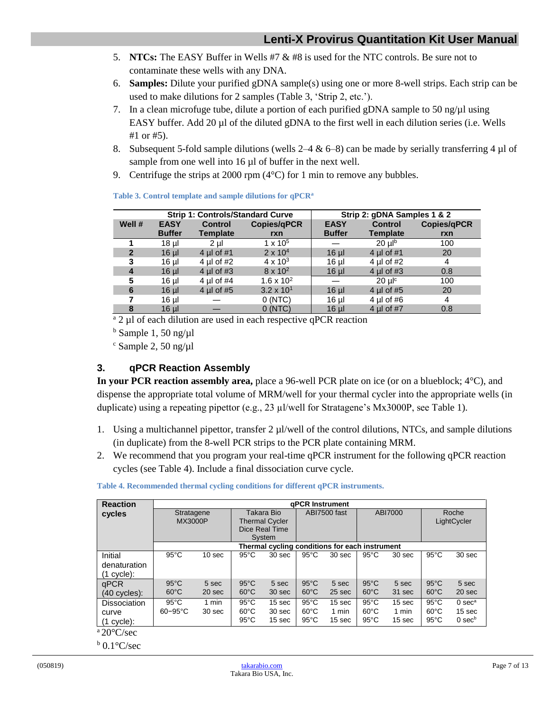- 5. **NTCs:** The EASY Buffer in Wells #7 & #8 is used for the NTC controls. Be sure not to contaminate these wells with any DNA.
- 6. **Samples:** Dilute your purified gDNA sample(s) using one or more 8-well strips. Each strip can be used to make dilutions for 2 samples (Table 3, 'Strip 2, etc.').
- 7. In a clean microfuge tube, dilute a portion of each purified gDNA sample to 50 ng/ $\mu$ l using EASY buffer. Add 20 µl of the diluted gDNA to the first well in each dilution series (i.e. Wells #1 or #5).
- 8. Subsequent 5-fold sample dilutions (wells  $2-4 \& 6-8$ ) can be made by serially transferring 4 µl of sample from one well into 16 µl of buffer in the next well.
- 9. Centrifuge the strips at 2000 rpm (4°C) for 1 min to remove any bubbles.

<span id="page-6-1"></span>

|              |               | <b>Strip 1: Controls/Standard Curve</b> |                     | Strip 2: gDNA Samples 1 & 2 |                       |                    |
|--------------|---------------|-----------------------------------------|---------------------|-----------------------------|-----------------------|--------------------|
| Well #       | <b>EASY</b>   | <b>Control</b>                          | <b>Copies/qPCR</b>  | <b>EASY</b>                 | <b>Control</b>        | <b>Copies/qPCR</b> |
|              | <b>Buffer</b> | <b>Template</b>                         | rxn                 | <b>Buffer</b>               | <b>Template</b>       | rxn                |
|              | 18 µl         | $2$ ul                                  | 1 x $10^5$          |                             | $20 \mu$ <sup>b</sup> | 100                |
| $\mathbf{2}$ | $16$ µ        | 4 ul of $#1$                            | $2 \times 10^{4}$   | $16$ µ $\overline{ }$       | 4 $\mu$ of #1         | 20                 |
| 3            | 16 µl         | 4 µl of $#2$                            | $4 \times 10^{3}$   | $16$ µl                     | 4 µl of $#2$          | 4                  |
| 4            | $16$ µl       | 4 ul of $#3$                            | $8 \times 10^{2}$   | $16$ µl                     | 4 ul of $#3$          | 0.8                |
| 5            | 16 µl         | 4 ul of $#4$                            | $1.6 \times 10^{2}$ |                             | $20 \text{ ulc}$      | 100                |
| 6            | $16$ µ        | 4 $\mu$ of #5                           | $3.2 \times 10^{1}$ | $16$ µ $\overline{ }$       | 4 $\mu$ l of #5       | 20                 |
|              | 16 µl         |                                         | 0(NTC)              | 16 µl                       | 4 µl of #6            | 4                  |
| 8            | $16$ µl       |                                         | 0(NTC)              | $16$ µ $\overline{ }$       | 4 $\mu$ l of #7       | 0.8                |

#### **Table 3. Control template and sample dilutions for qPCR<sup>a</sup>**

<sup>a</sup> 2 ul of each dilution are used in each respective qPCR reaction

 $<sup>b</sup>$  Sample 1, 50 ng/ $\mu$ 1</sup>

 $\textdegree$  Sample 2, 50 ng/ $\mu$ l

## <span id="page-6-0"></span>**3. qPCR Reaction Assembly**

**In your PCR reaction assembly area,** place a 96-well PCR plate on ice (or on a blueblock; 4°C), and dispense the appropriate total volume of MRM/well for your thermal cycler into the appropriate wells (in duplicate) using a repeating pipettor (e.g., 23 µl/well for Stratagene's Mx3000P, see Table 1).

- 1. Using a multichannel pipettor, transfer 2 µl/well of the control dilutions, NTCs, and sample dilutions (in duplicate) from the 8-well PCR strips to the PCR plate containing MRM.
- 2. We recommend that you program your real-time qPCR instrument for the following qPCR reaction cycles (see Table 4). Include a final dissociation curve cycle.

| <b>aPCR Instrument</b>           |                   |                                                                 |                            |                                                    |                           |                                                    |                           |                                                    |                                      |
|----------------------------------|-------------------|-----------------------------------------------------------------|----------------------------|----------------------------------------------------|---------------------------|----------------------------------------------------|---------------------------|----------------------------------------------------|--------------------------------------|
|                                  |                   | Takara Bio<br><b>Thermal Cycler</b><br>Dice Real Time<br>System |                            | ABI7500 fast                                       |                           | ABI7000                                            |                           | Roche<br>LightCycler                               |                                      |
|                                  |                   |                                                                 |                            |                                                    |                           |                                                    |                           |                                                    |                                      |
| $95^{\circ}$ C                   | 10 <sub>sec</sub> | $95^{\circ}$ C                                                  | 30 sec                     | $95^{\circ}$ C                                     | 30 <sub>sec</sub>         | $95^{\circ}$ C                                     | 30 <sub>sec</sub>         | $95^{\circ}$ C                                     | 30 sec                               |
| $95^{\circ}$ C<br>$60^{\circ}$ C | 5 sec<br>20 sec   | $95^{\circ}$ C<br>$60^{\circ}$ C                                | 5 sec<br>30 sec            | $95^{\circ}$ C<br>$60^{\circ}$ C                   | 5 sec<br>25 sec           | $95^{\circ}$ C<br>$60^{\circ}$ C                   | 5 sec<br>31 sec           | $95^{\circ}$ C<br>$60^{\circ}$ C                   | 5 sec<br>20 sec                      |
| $95^{\circ}$ C<br>$60 - 95$ °C   | 1 min<br>30 sec   | $95^{\circ}$ C<br>$60^{\circ}$ C<br>$95^{\circ}$ C              | 15 sec<br>30 sec<br>15 sec | $95^{\circ}$ C<br>$60^{\circ}$ C<br>$95^{\circ}$ C | 15 sec<br>1 min<br>15 sec | $95^{\circ}$ C<br>$60^{\circ}$ C<br>$95^{\circ}$ C | 15 sec<br>1 min<br>15 sec | $95^{\circ}$ C<br>$60^{\circ}$ C<br>$95^{\circ}$ C | $0$ sec $a$<br>15 sec<br>$0$ sec $b$ |
|                                  |                   | Stratagene<br><b>MX3000P</b>                                    |                            |                                                    |                           |                                                    |                           | Thermal cycling conditions for each instrument     |                                      |

<span id="page-6-2"></span>**Table 4. Recommended thermal cycling conditions for different qPCR instruments.**

 $a\,20^{\circ}$ C/sec

 $b$  0.1 $\degree$ C/sec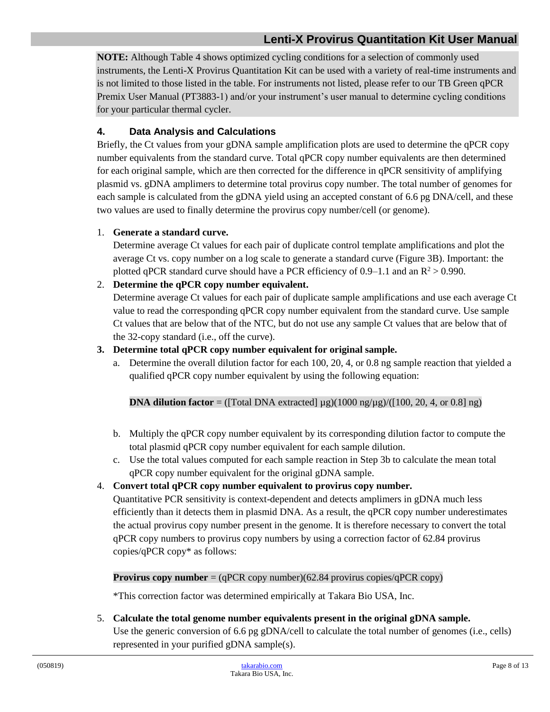## **Lenti-X Provirus Quantitation Kit User Manual**

**NOTE:** Although Table 4 shows optimized cycling conditions for a selection of commonly used instruments, the Lenti-X Provirus Quantitation Kit can be used with a variety of real-time instruments and is not limited to those listed in the table. For instruments not listed, please refer to our TB Green qPCR Premix User Manual (PT3883-1) and/or your instrument's user manual to determine cycling conditions for your particular thermal cycler.

#### <span id="page-7-0"></span>**4. Data Analysis and Calculations**

Briefly, the Ct values from your gDNA sample amplification plots are used to determine the qPCR copy number equivalents from the standard curve. Total qPCR copy number equivalents are then determined for each original sample, which are then corrected for the difference in qPCR sensitivity of amplifying plasmid vs. gDNA amplimers to determine total provirus copy number. The total number of genomes for each sample is calculated from the gDNA yield using an accepted constant of 6.6 pg DNA/cell, and these two values are used to finally determine the provirus copy number/cell (or genome).

#### 1. **Generate a standard curve.**

Determine average Ct values for each pair of duplicate control template amplifications and plot the average Ct vs. copy number on a log scale to generate a standard curve (Figure 3B). Important: the plotted qPCR standard curve should have a PCR efficiency of  $0.9-1.1$  and an  $R^2 > 0.990$ .

#### 2. **Determine the qPCR copy number equivalent.**

Determine average Ct values for each pair of duplicate sample amplifications and use each average Ct value to read the corresponding qPCR copy number equivalent from the standard curve. Use sample Ct values that are below that of the NTC, but do not use any sample Ct values that are below that of the 32-copy standard (i.e., off the curve).

#### **3. Determine total qPCR copy number equivalent for original sample.**

a. Determine the overall dilution factor for each 100, 20, 4, or 0.8 ng sample reaction that yielded a qualified qPCR copy number equivalent by using the following equation:

**DNA dilution factor** = ([Total DNA extracted]  $\mu$ g)(1000 ng/ $\mu$ g)/([100, 20, 4, or 0.8] ng)

- b. Multiply the qPCR copy number equivalent by its corresponding dilution factor to compute the total plasmid qPCR copy number equivalent for each sample dilution.
- c. Use the total values computed for each sample reaction in Step 3b to calculate the mean total qPCR copy number equivalent for the original gDNA sample.

#### 4. **Convert total qPCR copy number equivalent to provirus copy number.**

Quantitative PCR sensitivity is context-dependent and detects amplimers in gDNA much less efficiently than it detects them in plasmid DNA. As a result, the qPCR copy number underestimates the actual provirus copy number present in the genome. It is therefore necessary to convert the total qPCR copy numbers to provirus copy numbers by using a correction factor of 62.84 provirus copies/qPCR copy\* as follows:

#### **Provirus copy number** = (qPCR copy number)(62.84 provirus copies/qPCR copy)

\*This correction factor was determined empirically at Takara Bio USA, Inc.

5. **Calculate the total genome number equivalents present in the original gDNA sample.**  Use the generic conversion of 6.6 pg gDNA/cell to calculate the total number of genomes (i.e., cells) represented in your purified gDNA sample(s).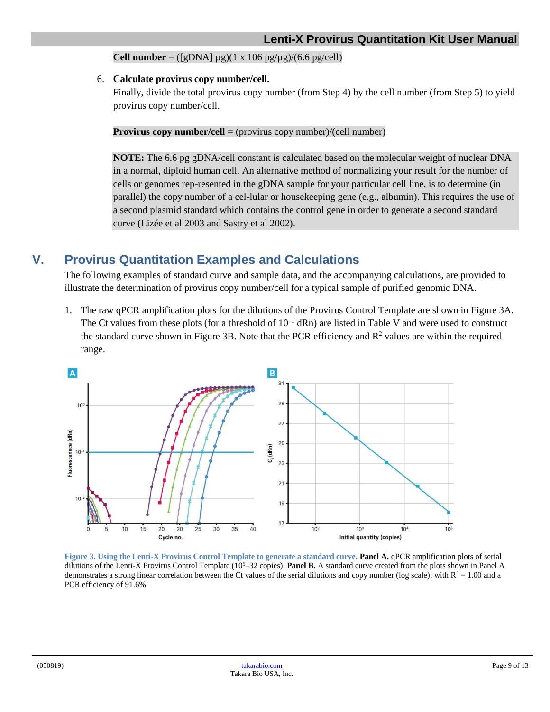**Cell number** =  $([gDNA] \mu g)(1 \times 106 \text{ pg}/\mu g)/(6.6 \text{ pg}/\text{cell})$ 

#### 6. **Calculate provirus copy number/cell.**

Finally, divide the total provirus copy number (from Step 4) by the cell number (from Step 5) to yield provirus copy number/cell.

**Provirus copy number/cell** = (provirus copy number)/(cell number)

**NOTE:** The 6.6 pg gDNA/cell constant is calculated based on the molecular weight of nuclear DNA in a normal, diploid human cell. An alternative method of normalizing your result for the number of cells or genomes rep-resented in the gDNA sample for your particular cell line, is to determine (in parallel) the copy number of a cel-lular or housekeeping gene (e.g., albumin). This requires the use of a second plasmid standard which contains the control gene in order to generate a second standard curve (Lizée et al 2003 and Sastry et al 2002).

## <span id="page-8-0"></span>**V. Provirus Quantitation Examples and Calculations**

The following examples of standard curve and sample data, and the accompanying calculations, are provided to illustrate the determination of provirus copy number/cell for a typical sample of purified genomic DNA.

1. The raw qPCR amplification plots for the dilutions of the Provirus Control Template are shown in Figure 3A. The Ct values from these plots (for a threshold of  $10^{-1}$  dRn) are listed in Table V and were used to construct the standard curve shown in Figure 3B. Note that the PCR efficiency and  $R<sup>2</sup>$  values are within the required range.



<span id="page-8-1"></span>**Figure 3. Using the Lenti-X Provirus Control Template to generate a standard curve. Panel A.** qPCR amplification plots of serial dilutions of the Lenti-X Provirus Control Template (10<sup>5</sup>–32 copies). **Panel B.** A standard curve created from the plots shown in Panel A demonstrates a strong linear correlation between the Ct values of the serial dilutions and copy number (log scale), with  $R^2 = 1.00$  and a PCR efficiency of 91.6%.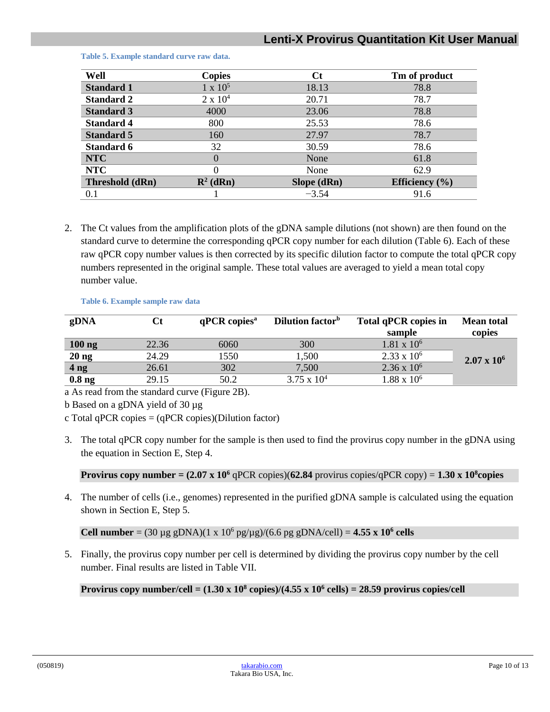## **Lenti-X Provirus Quantitation Kit User Manual**

| Well              | <b>Copies</b>        | Ct          | Tm of product      |
|-------------------|----------------------|-------------|--------------------|
| <b>Standard 1</b> | $1 \times 10^5$      | 18.13       | 78.8               |
| <b>Standard 2</b> | $2 \times 10^4$      | 20.71       | 78.7               |
| <b>Standard 3</b> | 4000                 | 23.06       | 78.8               |
| <b>Standard 4</b> | 800                  | 25.53       | 78.6               |
| <b>Standard 5</b> | 160                  | 27.97       | 78.7               |
| <b>Standard 6</b> | 32                   | 30.59       | 78.6               |
| <b>NTC</b>        |                      | None        | 61.8               |
| <b>NTC</b>        |                      | None        | 62.9               |
| Threshold (dRn)   | $\mathbf{R}^2$ (dRn) | Slope (dRn) | Efficiency $(\% )$ |
| 0.1               |                      | $-3.54$     | 91.6               |

<span id="page-9-0"></span>**Table 5. Example standard curve raw data.**

2. The Ct values from the amplification plots of the gDNA sample dilutions (not shown) are then found on the standard curve to determine the corresponding qPCR copy number for each dilution (Table 6). Each of these raw qPCR copy number values is then corrected by its specific dilution factor to compute the total qPCR copy numbers represented in the original sample. These total values are averaged to yield a mean total copy number value.

**Table 6. Example sample raw data**

<span id="page-9-1"></span>

| gDNA              | Сt    | $qPCR$ copies <sup>a</sup> | Dilution factor <sup>b</sup> | <b>Total qPCR copies in</b> | <b>Mean total</b>  |
|-------------------|-------|----------------------------|------------------------------|-----------------------------|--------------------|
|                   |       |                            |                              | sample                      | copies             |
| $100$ ng          | 22.36 | 6060                       | 300                          | $1.81 \times 10^6$          |                    |
| 20 <sub>ng</sub>  | 24.29 | 1550                       | 1,500                        | $2.33 \times 10^6$          | $2.07 \times 10^6$ |
| 4 <sub>ng</sub>   | 26.61 | 302                        | 7,500                        | $2.36 \times 10^6$          |                    |
| 0.8 <sub>ng</sub> | 29.15 | 50.2                       | $3.75 \times 10^{4}$         | $1.88 \times 10^6$          |                    |

a As read from the standard curve (Figure 2B).

b Based on a gDNA yield of 30 µg

c Total qPCR copies = (qPCR copies)(Dilution factor)

3. The total qPCR copy number for the sample is then used to find the provirus copy number in the gDNA using the equation in Section E, Step 4.

**Provirus copy number =**  $(2.07 \times 10^6 \text{ qPCR copies})(62.84 \text{ provirus copies/qPCR copy}) = 1.30 \times 10^8 \text{copies}$ 

4. The number of cells (i.e., genomes) represented in the purified gDNA sample is calculated using the equation shown in Section E, Step 5.

**Cell number** =  $(30 \mu g)$  gDNA $(1 \times 10^6)$  pg/ $\mu g$  $/(6.6 \text{ pg})$  gDNA/cell $) = 4.55 \times 10^6$  cells

5. Finally, the provirus copy number per cell is determined by dividing the provirus copy number by the cell number. Final results are listed in Table VII.

**Provirus copy number/cell =**  $(1.30 \times 10^8 \text{ copies})/(4.55 \times 10^6 \text{ cells}) = 28.59 \text{ provirus copies/cell}$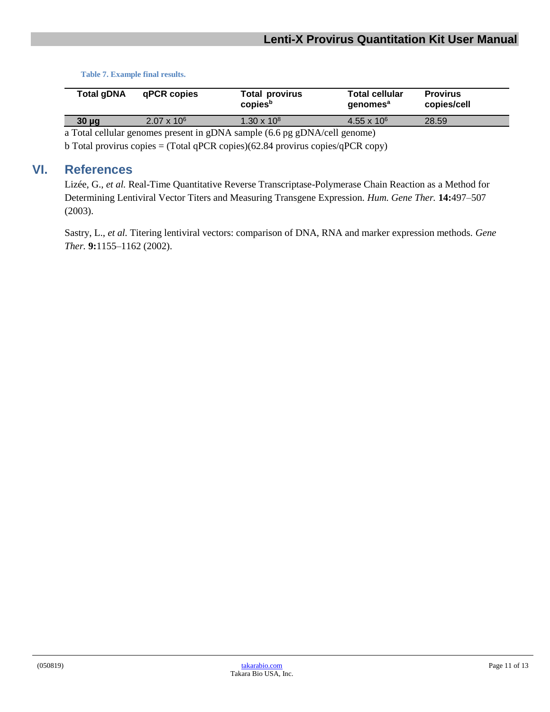**Table 7. Example final results.**

<span id="page-10-1"></span>

| Total gDNA | qPCR copies        | <b>Total provirus</b><br>copies <sup>b</sup> | <b>Total cellular</b><br>genomes <sup>a</sup> | <b>Provirus</b><br>copies/cell |
|------------|--------------------|----------------------------------------------|-----------------------------------------------|--------------------------------|
| $30 \mu g$ | $2.07 \times 10^6$ | $1.30 \times 10^8$                           | $4.55 \times 10^{6}$                          | 28.59                          |
|            |                    |                                              |                                               |                                |

a Total cellular genomes present in gDNA sample (6.6 pg gDNA/cell genome)

b Total provirus copies = (Total qPCR copies)(62.84 provirus copies/qPCR copy)

## <span id="page-10-0"></span>**VI. References**

Lizée, G., *et al.* Real-Time Quantitative Reverse Transcriptase-Polymerase Chain Reaction as a Method for Determining Lentiviral Vector Titers and Measuring Transgene Expression. *Hum. Gene Ther.* **14:**497–507 (2003).

Sastry, L., *et al.* Titering lentiviral vectors: comparison of DNA, RNA and marker expression methods. *Gene Ther.* **9:**1155–1162 (2002).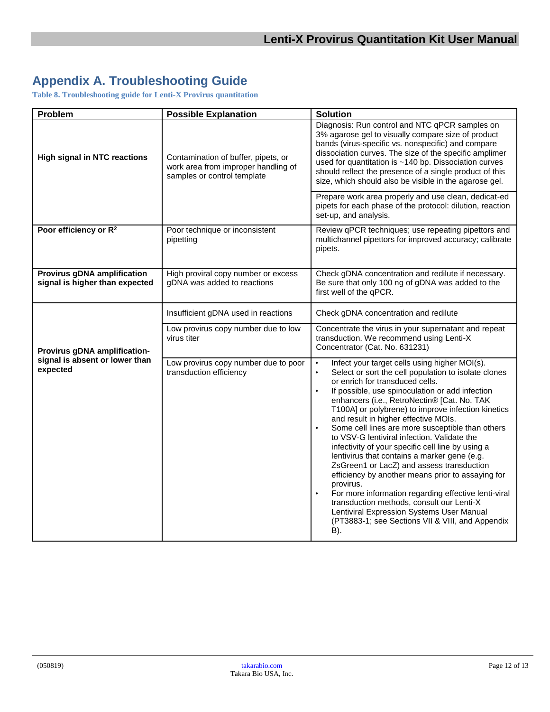# <span id="page-11-0"></span>**Appendix A. Troubleshooting Guide**

<span id="page-11-1"></span>**Table 8. Troubleshooting guide for Lenti-X Provirus quantitation**

| Problem                                                              | <b>Possible Explanation</b>                                                                               | <b>Solution</b>                                                                                                                                                                                                                                                                                                                                                                                                                                                                                                                                                                                                                                                                                                                                                                                                                                                                                        |
|----------------------------------------------------------------------|-----------------------------------------------------------------------------------------------------------|--------------------------------------------------------------------------------------------------------------------------------------------------------------------------------------------------------------------------------------------------------------------------------------------------------------------------------------------------------------------------------------------------------------------------------------------------------------------------------------------------------------------------------------------------------------------------------------------------------------------------------------------------------------------------------------------------------------------------------------------------------------------------------------------------------------------------------------------------------------------------------------------------------|
| <b>High signal in NTC reactions</b>                                  | Contamination of buffer, pipets, or<br>work area from improper handling of<br>samples or control template | Diagnosis: Run control and NTC qPCR samples on<br>3% agarose gel to visually compare size of product<br>bands (virus-specific vs. nonspecific) and compare<br>dissociation curves. The size of the specific amplimer<br>used for quantitation is ~140 bp. Dissociation curves<br>should reflect the presence of a single product of this<br>size, which should also be visible in the agarose gel.                                                                                                                                                                                                                                                                                                                                                                                                                                                                                                     |
|                                                                      |                                                                                                           | Prepare work area properly and use clean, dedicat-ed<br>pipets for each phase of the protocol: dilution, reaction<br>set-up, and analysis.                                                                                                                                                                                                                                                                                                                                                                                                                                                                                                                                                                                                                                                                                                                                                             |
| Poor efficiency or R <sup>2</sup>                                    | Poor technique or inconsistent<br>pipetting                                                               | Review qPCR techniques; use repeating pipettors and<br>multichannel pipettors for improved accuracy; calibrate<br>pipets.                                                                                                                                                                                                                                                                                                                                                                                                                                                                                                                                                                                                                                                                                                                                                                              |
| <b>Provirus gDNA amplification</b><br>signal is higher than expected | High proviral copy number or excess<br>gDNA was added to reactions                                        | Check gDNA concentration and redilute if necessary.<br>Be sure that only 100 ng of gDNA was added to the<br>first well of the qPCR.                                                                                                                                                                                                                                                                                                                                                                                                                                                                                                                                                                                                                                                                                                                                                                    |
|                                                                      | Insufficient gDNA used in reactions                                                                       | Check gDNA concentration and redilute                                                                                                                                                                                                                                                                                                                                                                                                                                                                                                                                                                                                                                                                                                                                                                                                                                                                  |
| Provirus gDNA amplification-                                         | Low provirus copy number due to low<br>virus titer                                                        | Concentrate the virus in your supernatant and repeat<br>transduction. We recommend using Lenti-X<br>Concentrator (Cat. No. 631231)                                                                                                                                                                                                                                                                                                                                                                                                                                                                                                                                                                                                                                                                                                                                                                     |
| signal is absent or lower than<br>expected                           | Low provirus copy number due to poor<br>transduction efficiency                                           | Infect your target cells using higher MOI(s).<br>$\bullet$<br>Select or sort the cell population to isolate clones<br>or enrich for transduced cells.<br>If possible, use spinoculation or add infection<br>$\bullet$<br>enhancers (i.e., RetroNectin® [Cat. No. TAK<br>T100A] or polybrene) to improve infection kinetics<br>and result in higher effective MOIs.<br>Some cell lines are more susceptible than others<br>to VSV-G lentiviral infection. Validate the<br>infectivity of your specific cell line by using a<br>lentivirus that contains a marker gene (e.g.<br>ZsGreen1 or LacZ) and assess transduction<br>efficiency by another means prior to assaying for<br>provirus.<br>For more information regarding effective lenti-viral<br>transduction methods, consult our Lenti-X<br>Lentiviral Expression Systems User Manual<br>(PT3883-1; see Sections VII & VIII, and Appendix<br>B). |